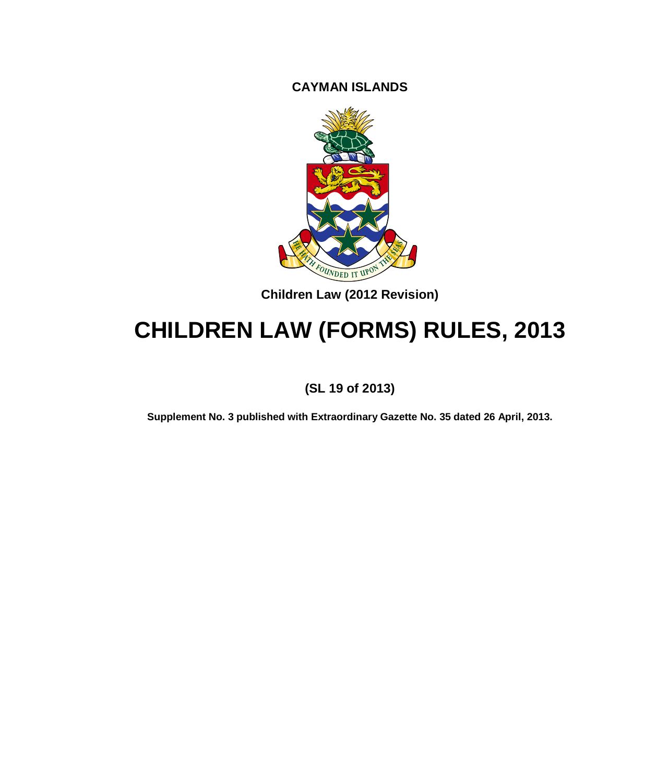**CAYMAN ISLANDS**



**Children Law (2012 Revision)**

# **CHILDREN LAW (FORMS) RULES, 2013**

**(SL 19 of 2013)**

**Supplement No. 3 published with Extraordinary Gazette No. 35 dated 26 April, 2013.**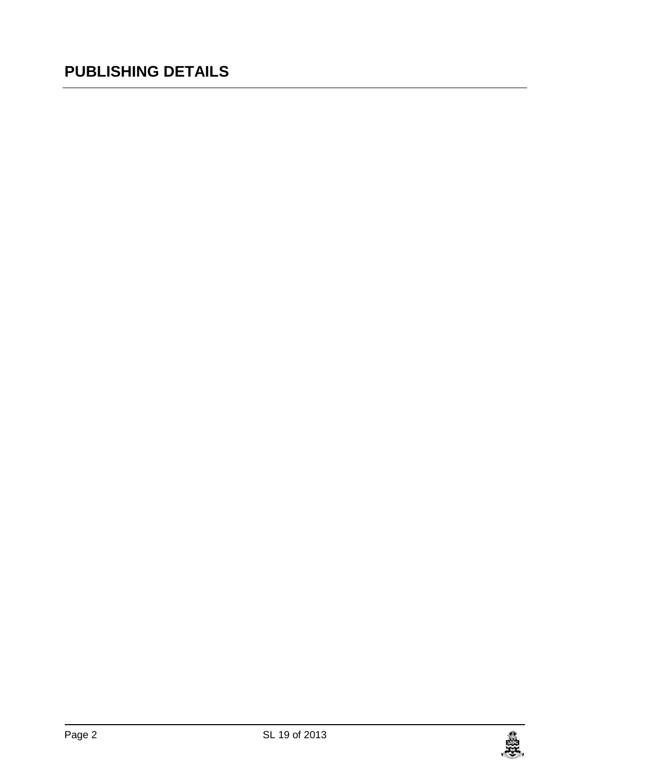## **PUBLISHING DETAILS**

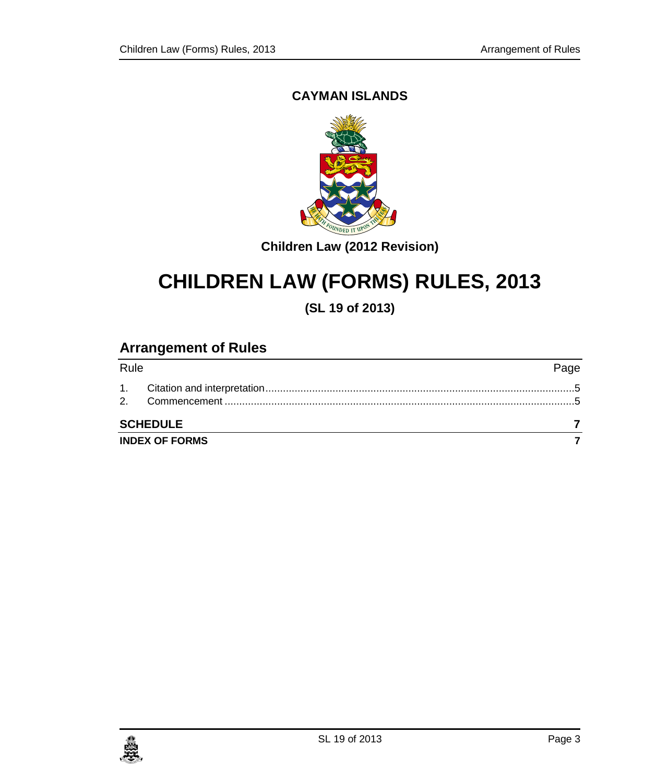### **CAYMAN ISLANDS**



**Children Law (2012 Revision)**

# **CHILDREN LAW (FORMS) RULES, 2013**

**(SL 19 of 2013)**

### **Arrangement of Rules**

|      | <b>INDEX OF FORMS</b> |      |
|------|-----------------------|------|
|      | <b>SCHEDULE</b>       |      |
|      |                       |      |
|      |                       |      |
| Rule |                       | Page |

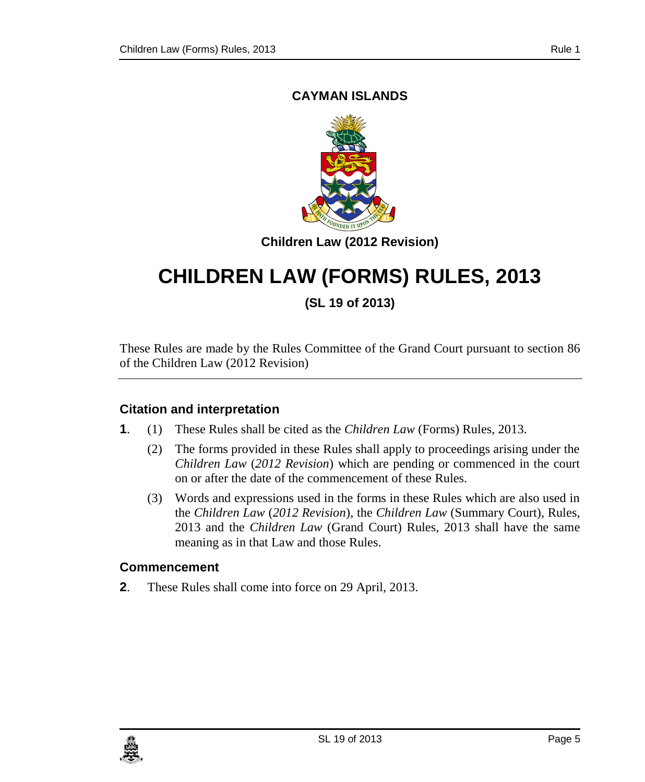### **CAYMAN ISLANDS**



**Children Law (2012 Revision)**

## **CHILDREN LAW (FORMS) RULES, 2013**

**(SL 19 of 2013)**

These Rules are made by the Rules Committee of the Grand Court pursuant to section 86 of the Children Law (2012 Revision)

#### <span id="page-4-0"></span>**1. Citation and interpretation**

- **1**. (1) These Rules shall be cited as the *Children Law* (Forms) Rules, 2013.
	- (2) The forms provided in these Rules shall apply to proceedings arising under the *Children Law* (*2012 Revision*) which are pending or commenced in the court on or after the date of the commencement of these Rules.
	- (3) Words and expressions used in the forms in these Rules which are also used in the *Children Law* (*2012 Revision*), the *Children Law* (Summary Court), Rules, 2013 and the *Children Law* (Grand Court) Rules, 2013 shall have the same meaning as in that Law and those Rules.

#### <span id="page-4-1"></span>**2. Commencement**

**2**. These Rules shall come into force on 29 April, 2013.

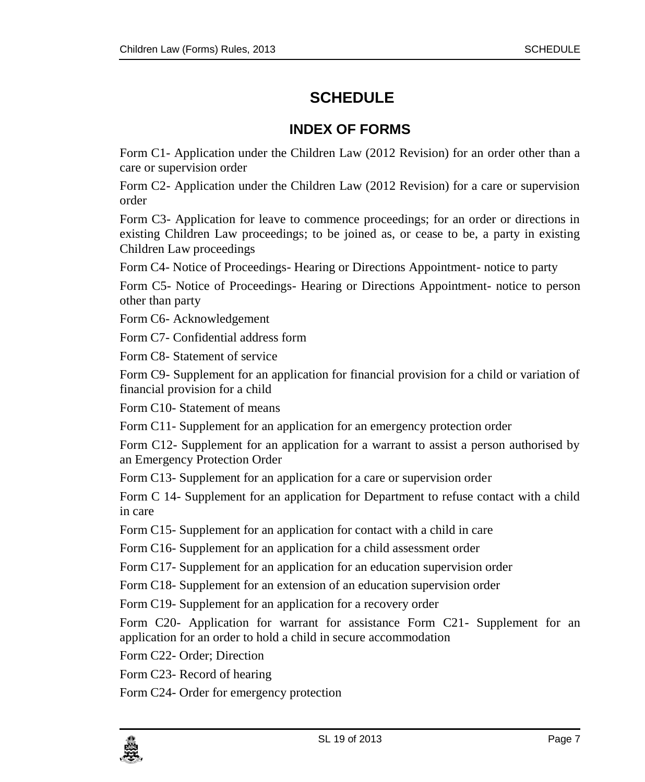### <span id="page-6-0"></span>**SCHEDULE**

### **INDEX OF FORMS**

<span id="page-6-1"></span>Form C1- Application under the Children Law (2012 Revision) for an order other than a care or supervision order

Form C2- Application under the Children Law (2012 Revision) for a care or supervision order

Form C3- Application for leave to commence proceedings; for an order or directions in existing Children Law proceedings; to be joined as, or cease to be, a party in existing Children Law proceedings

Form C4- Notice of Proceedings- Hearing or Directions Appointment- notice to party

Form C5- Notice of Proceedings- Hearing or Directions Appointment- notice to person other than party

Form C6- Acknowledgement

Form C7- Confidential address form

Form C8- Statement of service

Form C9- Supplement for an application for financial provision for a child or variation of financial provision for a child

Form C10- Statement of means

Form C11- Supplement for an application for an emergency protection order

Form C12- Supplement for an application for a warrant to assist a person authorised by an Emergency Protection Order

Form C13- Supplement for an application for a care or supervision order

Form C 14- Supplement for an application for Department to refuse contact with a child in care

Form C15- Supplement for an application for contact with a child in care

Form C16- Supplement for an application for a child assessment order

Form C17- Supplement for an application for an education supervision order

Form C18- Supplement for an extension of an education supervision order

Form C19- Supplement for an application for a recovery order

Form C20- Application for warrant for assistance Form C21- Supplement for an application for an order to hold a child in secure accommodation

Form C22- Order; Direction

Form C23- Record of hearing

Form C24- Order for emergency protection

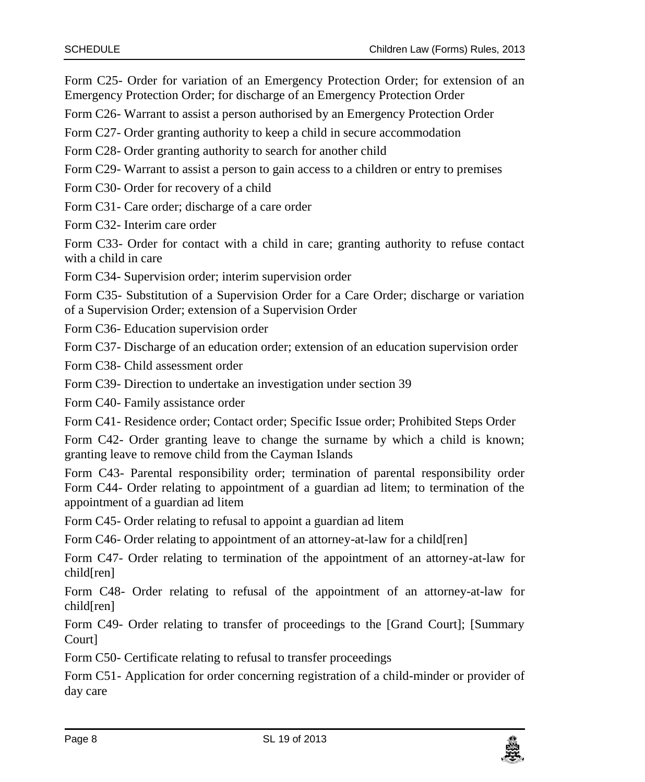Form C25- Order for variation of an Emergency Protection Order; for extension of an Emergency Protection Order; for discharge of an Emergency Protection Order

Form C26- Warrant to assist a person authorised by an Emergency Protection Order

Form C27- Order granting authority to keep a child in secure accommodation

Form C28- Order granting authority to search for another child

Form C29- Warrant to assist a person to gain access to a children or entry to premises

Form C30- Order for recovery of a child

Form C31- Care order; discharge of a care order

Form C32- Interim care order

Form C33- Order for contact with a child in care; granting authority to refuse contact with a child in care

Form C34- Supervision order; interim supervision order

Form C35- Substitution of a Supervision Order for a Care Order; discharge or variation of a Supervision Order; extension of a Supervision Order

Form C36- Education supervision order

Form C37- Discharge of an education order; extension of an education supervision order

Form C38- Child assessment order

Form C39- Direction to undertake an investigation under section 39

Form C40- Family assistance order

Form C41- Residence order; Contact order; Specific Issue order; Prohibited Steps Order

Form C42- Order granting leave to change the surname by which a child is known; granting leave to remove child from the Cayman Islands

Form C43- Parental responsibility order; termination of parental responsibility order Form C44- Order relating to appointment of a guardian ad litem; to termination of the appointment of a guardian ad litem

Form C45- Order relating to refusal to appoint a guardian ad litem

Form C46- Order relating to appointment of an attorney-at-law for a child[ren]

Form C47- Order relating to termination of the appointment of an attorney-at-law for child[ren]

Form C48- Order relating to refusal of the appointment of an attorney-at-law for child[ren]

Form C49- Order relating to transfer of proceedings to the [Grand Court]; [Summary Court]

Form C50- Certificate relating to refusal to transfer proceedings

Form C51- Application for order concerning registration of a child-minder or provider of day care

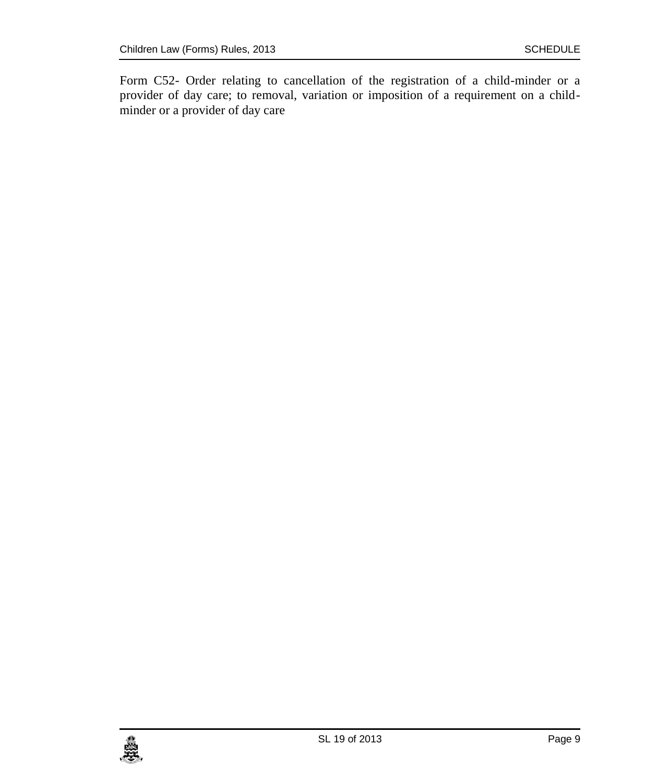Form C52- Order relating to cancellation of the registration of a child-minder or a provider of day care; to removal, variation or imposition of a requirement on a childminder or a provider of day care